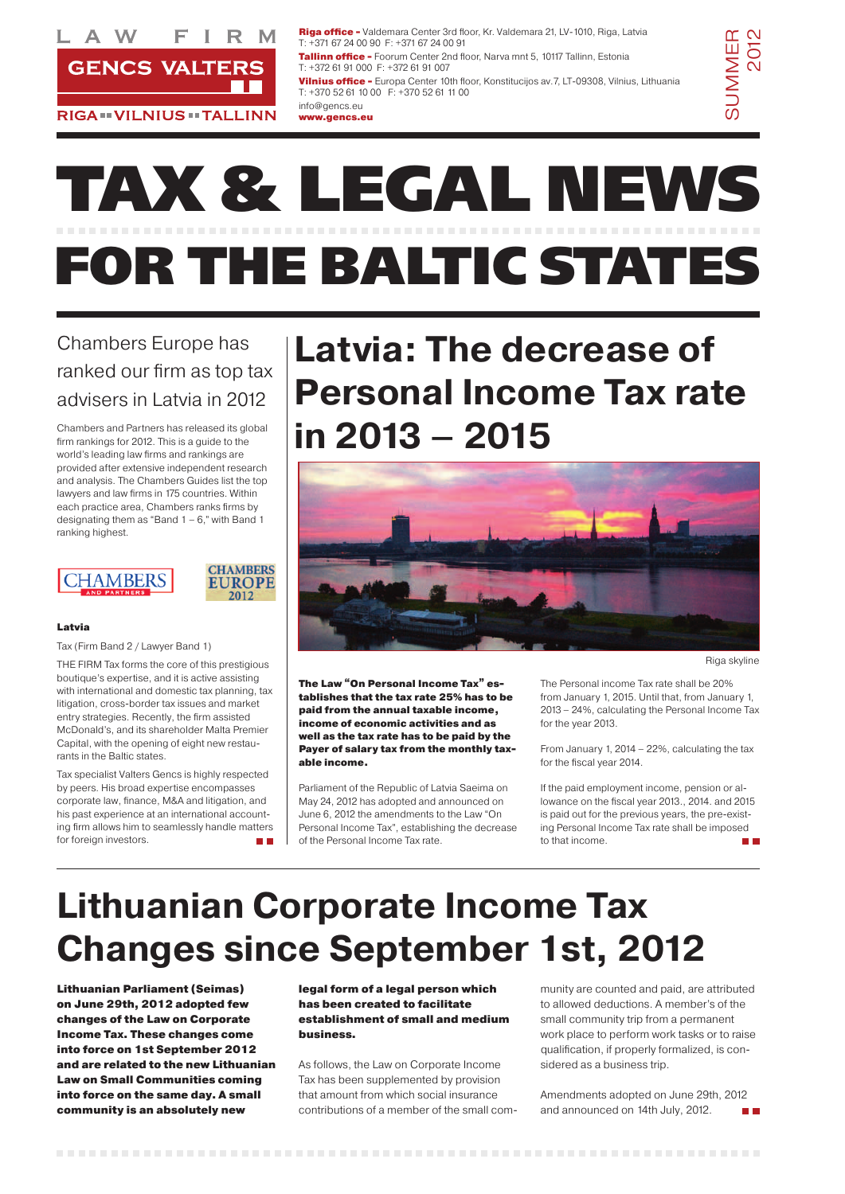

**RIGA ·· VILNIUS ·· TALLINN** 

# **TAX & LEGAL NEWS FOR THE BALTIC STATES**

The Law "On Personal Income Tax" establishes that the tax rate 25% has to be paid from the annual taxable income, income of economic activities and as well as the tax rate has to be paid by the Payer of salary tax from the monthly taxable income.

Parliament of the Republic of Latvia Saeima on May 24, 2012 has adopted and announced on June 6, 2012 the amendments to the Law "On Personal Income Tax", establishing the decrease of the Personal Income Tax rate.

The Personal income Tax rate shall be 20% from January 1, 2015. Until that, from January 1, 2013 – 24%, calculating the Personal Income Tax for the year 2013.

From January 1, 2014 – 22%, calculating the tax for the fiscal year 2014.

If the paid employment income, pension or allowance on the fiscal year 2013., 2014. and 2015 is paid out for the previous years, the pre-existing Personal Income Tax rate shall be imposed to that income.

### **Latvia: The decrease of Personal Income Tax rate in 2013 – 2015**

### Chambers Europe has ranked our firm as top tax advisers in Latvia in 2012

Chambers and Partners has released its global firm rankings for 2012. This is a guide to the world's leading law firms and rankings are provided after extensive independent research and analysis. The Chambers Guides list the top lawyers and law firms in 175 countries. Within each practice area, Chambers ranks firms by designating them as "Band  $1 - 6$ ," with Band 1 ranking highest.

> **CHAMBERS EUROPE** 2012



Amendments adopted on June 29th, 2012 and announced on 14th July, 2012. **The Contract** 

### Latvia

#### 

Tax (Firm Band 2 / Lawyer Band 1)

Riga office - Valdemara Center 3rd floor, Kr. Valdemara 21, LV-1010, Riga, Latvia T: +371 67 24 00 90 F: +371 67 24 00 91

**Tallinn office - Foorum Center 2nd floor, Narva mnt 5, 10117 Tallinn, Estonia** T: +372 61 91 000 F: +372 61 91 007

THE FIRM Tax forms the core of this prestigious boutique's expertise, and it is active assisting with international and domestic tax planning, tax litigation, cross-border tax issues and market entry strategies. Recently, the firm assisted McDonald's, and its shareholder Malta Premier Capital, with the opening of eight new restaurants in the Baltic states.

Vilnius office - Europa Center 10th floor, Konstitucijos av. 7, LT-09308, Vilnius, Lithuania T: +370 52 61 10 00 F: +370 52 61 11 00

SUMMER **SUMMER**<br>2012

Tax specialist Valters Gencs is highly respected by peers. His broad expertise encompasses corporate law, finance, M&A and litigation, and his past experience at an international accounting firm allows him to seamlessly handle matters for foreign investors.

Lithuanian Parliament (Seimas) on June 29th, 2012 adopted few changes of the Law on Corporate Income Tax. These changes come into force on 1st September 2012 and are related to the new Lithuanian Law on Small Communities coming into force on the same day. A small community is an absolutely new

legal form of a legal person which has been created to facilitate establishment of small and medium business.

As follows, the Law on Corporate Income Tax has been supplemented by provision that amount from which social insurance contributions of a member of the small com-

munity are counted and paid, are attributed to allowed deductions. A member's of the small community trip from a permanent work place to perform work tasks or to raise qualification, if properly formalized, is considered as a business trip.

### **Lithuanian Corporate Income Tax Changes since September 1st, 2012**

info@gencs.eu www.gencs.eu



Riga skyline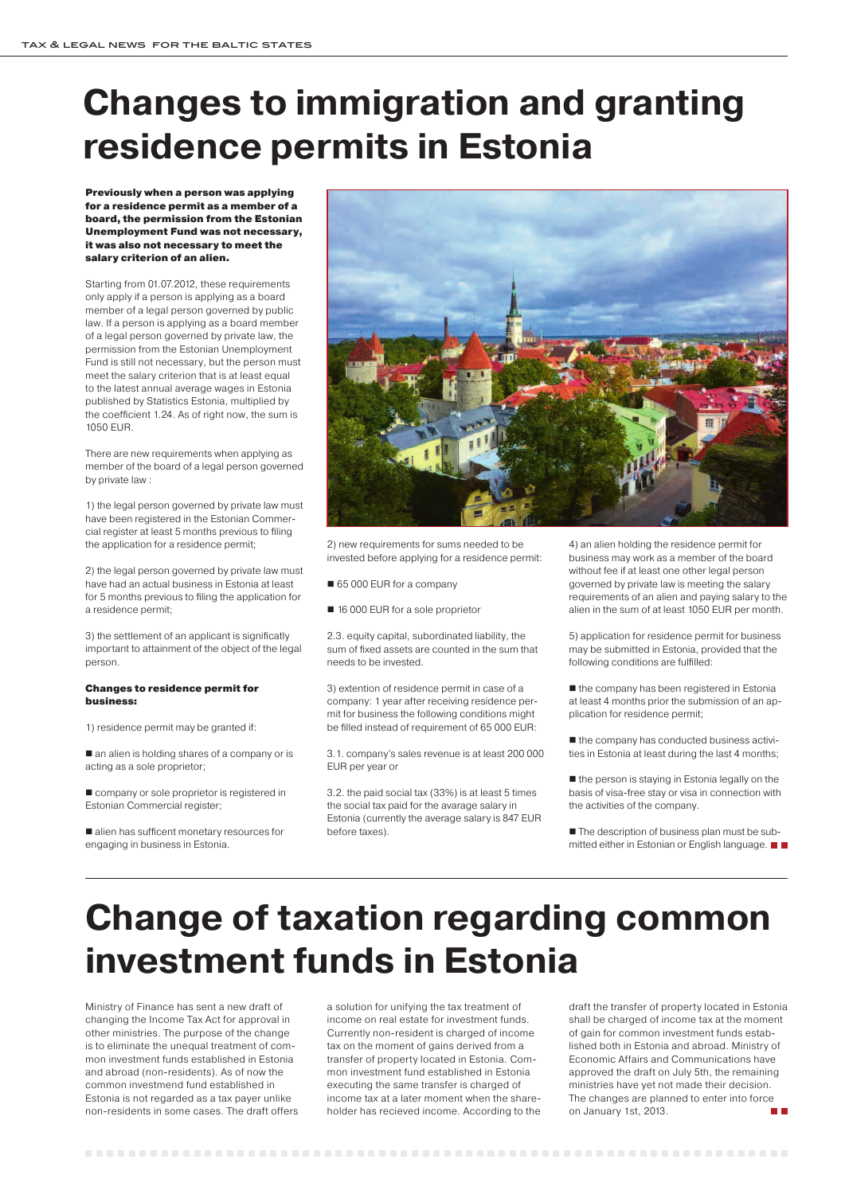Previously when a person was applying for a residence permit as a member of a board, the permission from the Estonian Unemployment Fund was not necessary, it was also not necessary to meet the salary criterion of an alien.

Starting from 01.07.2012, these requirements only apply if a person is applying as a board member of a legal person governed by public law. If a person is applying as a board member of a legal person governed by private law, the permission from the Estonian Unemployment Fund is still not necessary, but the person must meet the salary criterion that is at least equal to the latest annual average wages in Estonia published by Statistics Estonia, multiplied by the coefficient 1.24. As of right now, the sum is 1050 EUR.

 $\blacksquare$  an alien is holding shares of a company or is acting as a sole proprietor;

company or sole proprietor is registered in Estonian Commercial register;

There are new requirements when applying as member of the board of a legal person governed by private law :

■ alien has sufficent monetary resources for engaging in business in Estonia.



1) the legal person governed by private law must have been registered in the Estonian Commercial register at least 5 months previous to filing the application for a residence permit;

2) the legal person governed by private law must have had an actual business in Estonia at least for 5 months previous to filing the application for a residence permit;

3) the settlement of an applicant is significatly important to attainment of the object of the legal person.

#### Changes to residence permit for business:

1) residence permit may be granted if:

 $\blacksquare$  the company has been registered in Estonia at least 4 months prior the submission of an application for residence permit;

 $\blacksquare$  the company has conducted business activities in Estonia at least during the last 4 months;

 $\blacksquare$  the person is staying in Estonia legally on the basis of visa-free stay or visa in connection with the activities of the company.

■ The description of business plan must be submitted either in Estonian or English language. ■ ■

2) new requirements for sums needed to be invested before applying for a residence permit:

#### 65 000 EUR for a company

■ 16 000 EUR for a sole proprietor

2.3. equity capital, subordinated liability, the sum of fixed assets are counted in the sum that needs to be invested.

3) extention of residence permit in case of a company: 1 year after receiving residence permit for business the following conditions might be filled instead of requirement of 65 000 EUR:

> draft the transfer of property located in Estonia shall be charged of income tax at the moment of gain for common investment funds established both in Estonia and abroad. Ministry of Economic Affairs and Communications have approved the draft on July 5th, the remaining ministries have yet not made their decision. The changes are planned to enter into force on January 1st, 2013. **The Co**

#### 

3.1. company's sales revenue is at least 200 000 EUR per year or

3.2. the paid social tax (33%) is at least 5 times the social tax paid for the avarage salary in Estonia (currently the average salary is 847 EUR before taxes).

4) an alien holding the residence permit for business may work as a member of the board without fee if at least one other legal person governed by private law is meeting the salary requirements of an alien and paying salary to the alien in the sum of at least 1050 EUR per month.

5) application for residence permit for business may be submitted in Estonia, provided that the following conditions are fulfilled:

### **Changes to immigration and granting residence permits in Estonia**

Ministry of Finance has sent a new draft of changing the Income Tax Act for approval in other ministries. The purpose of the change is to eliminate the unequal treatment of common investment funds established in Estonia and abroad (non-residents). As of now the common investmend fund established in Estonia is not regarded as a tax payer unlike non-residents in some cases. The draft offers a solution for unifying the tax treatment of income on real estate for investment funds. Currently non-resident is charged of income tax on the moment of gains derived from a transfer of property located in Estonia. Common investment fund established in Estonia executing the same transfer is charged of income tax at a later moment when the shareholder has recieved income. According to the

### **Change of taxation regarding common investment funds in Estonia**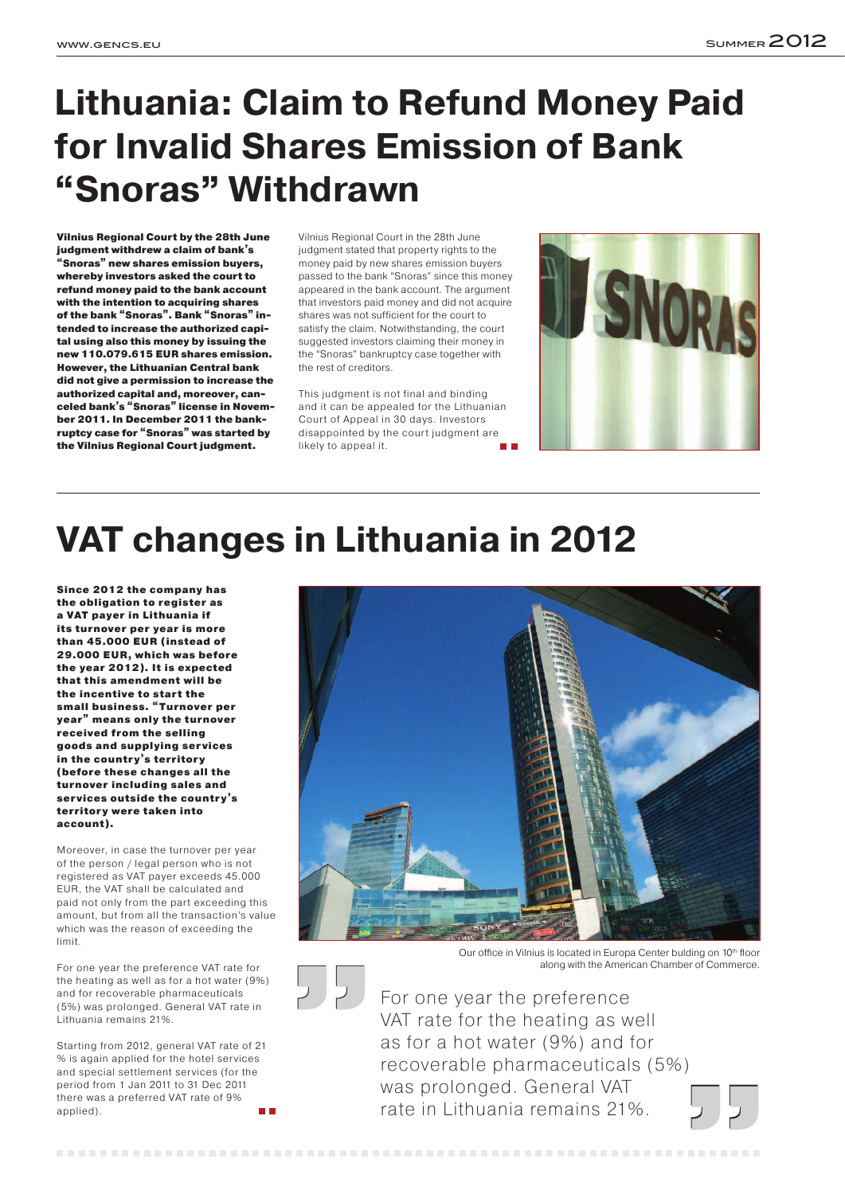Vilnius Regional Court by the 28th June judgment withdrew a claim of bank's "Snoras" new shares emission buyers, whereby investors asked the court to refund money paid to the bank account with the intention to acquiring shares of the bank "Snoras". Bank "Snoras" intended to increase the authorized capital using also this money by issuing the new 110.079.615 EUR shares emission. However, the Lithuanian Central bank did not give a permission to increase the authorized capital and, moreover, canceled bank's "Snoras" license in November 2011. In December 2011 the bankruptcy case for "Snoras" was started by the Vilnius Regional Court judgment.

Vilnius Regional Court in the 28th June judgment stated that property rights to the money paid by new shares emission buyers passed to the bank "Snoras" since this money appeared in the bank account. The argument that investors paid money and did not acquire shares was not sufficient for the court to satisfy the claim. Notwithstanding, the court suggested investors claiming their money in the "Snoras" bankruptcy case together with the rest of creditors.

This judgment is not final and binding and it can be appealed for the Lithuanian Court of Appeal in 30 days. Investors disappointed by the court judgment are likely to appeal it.



Starting from 2012, general VAT rate of 21 % is again applied for the hotel services and special settlement services (for the period from 1 Jan 2011 to 31 Dec 2011 there was a preferred VAT rate of 9% applied). **The Co** 

### **Lithuania: Claim to Refund Money Paid for Invalid Shares Emission of Bank "Snoras" Withdrawn**

## **VAT changes in Lithuania in 2012**

Our office in Vilnius is located in Europa Center bulding on 10<sup>th</sup> floor along with the American Chamber of Commerce.

Since 2012 the company has the obligation to register as a VAT payer in Lithuania if its turnover per year is more than 45.000 EUR (instead of 29.000 EUR, which was before the year 2012). It is expected that this amendment will be the incentive to start the small business. " Turnover per year" means only the turnover received from the selling goods and supplying ser vices in the country's territory (before these changes all the turnover including sales and ser vices outside the country's territory were taken into account).

Moreover, in case the turnover per year of the person / legal person who is not registered as VAT payer exceeds 45.000 EUR, the VAT shall be calculated and paid not only from the part exceeding this amount, but from all the transaction's value which was the reason of exceeding the limit.





For one year the preference VAT rate for the heating as well as for a hot water (9%) and for recoverable pharmaceuticals (5%) was prolonged. General VAT rate in Lithuania remains 21%.

For one year the preference VAT rate for the heating as well as for a hot water (9%) and for recoverable pharmaceuticals (5%) was prolonged. General VAT rate in Lithuania remains 21%.